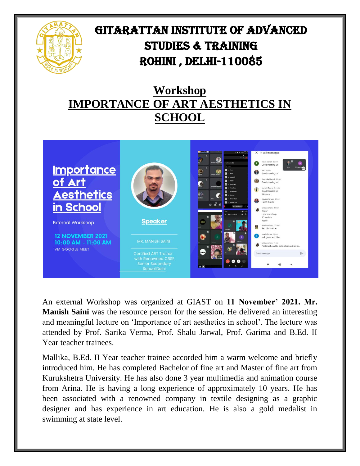

## GITARATTAN INSTITUTE OF ADVANCED STUDIES & TRAINING Rohini , Delhi-110085

## **Workshop IMPORTANCE OF ART AESTHETICS IN SCHOOL**



An external Workshop was organized at GIAST on **11 November' 2021. Mr. Manish Saini** was the resource person for the session. He delivered an interesting and meaningful lecture on 'Importance of art aesthetics in school'. The lecture was attended by Prof. Sarika Verma, Prof. Shalu Jarwal, Prof. Garima and B.Ed. II Year teacher trainees.

Mallika, B.Ed. II Year teacher trainee accorded him a warm welcome and briefly introduced him. He has completed Bachelor of fine art and Master of fine art from Kurukshetra University. He has also done 3 year multimedia and animation course from Arina. He is having a long experience of approximately 10 years. He has been associated with a renowned company in textile designing as a graphic designer and has experience in art education. He is also a gold medalist in swimming at state level.